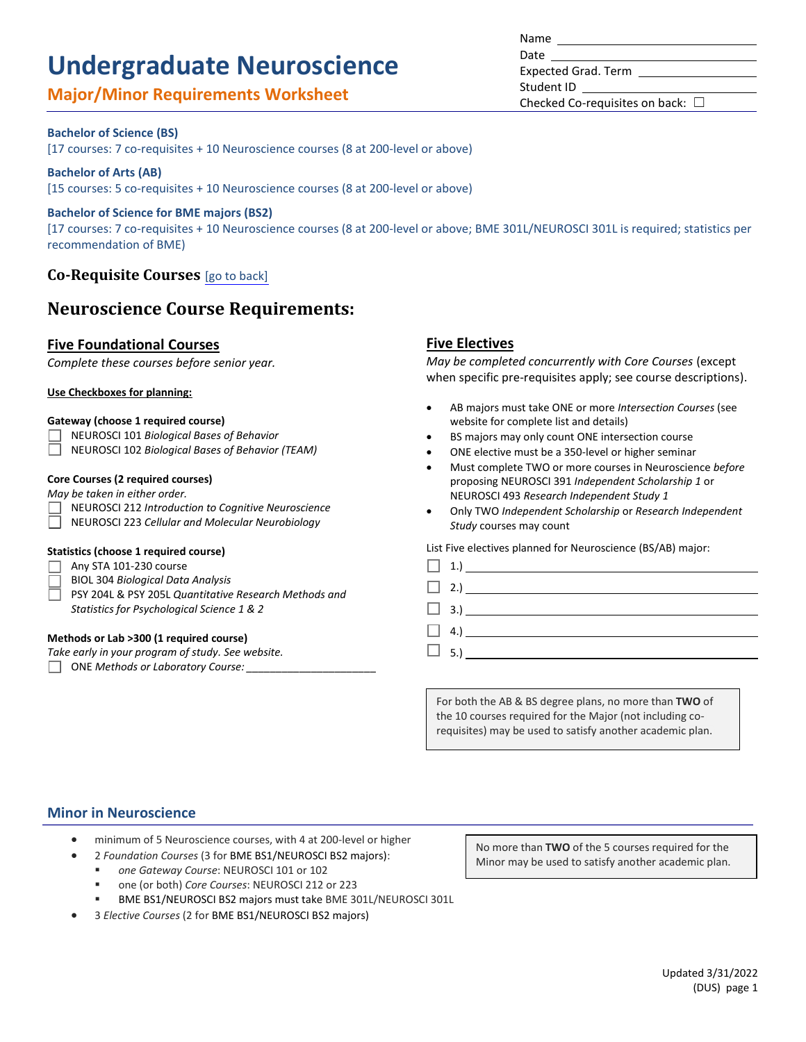# **Undergraduate Neuroscience**

# **Major/Minor Requirements Worksheet**

## Updated 3/31/2022 (DUS) page 1

#### **Bachelor of Science (BS)**

[17 courses: 7 co-requisites + 10 Neuroscience courses (8 at 200-level or above)

#### **Bachelor of Arts (AB)**

[15 courses: 5 co-requisites + 10 Neuroscience courses (8 at 200-level or above)

#### **Bachelor of Science for BME majors (BS2)**

[17 courses: 7 co-requisites + 10 Neuroscience courses (8 at 200-level or above; BME 301L/NEUROSCI 301L is required; statistics per recommendation of BME)

## **Co-Requisite Courses** [\[go to back\]](#page-1-0)

# **Neuroscience Course Requirements:**

#### **Five Foundational Courses**

*Complete these courses before senior year.*

#### **Use Checkboxes for planning:**

#### **Gateway (choose 1 required course)**

NEUROSCI 101 *Biological Bases of Behavior*

 $\Box$ NEUROSCI 102 *Biological Bases of Behavior (TEAM)*

## **Core Courses (2 required courses)**

*May be taken in either order.*

- NEUROSCI 212 *Introduction to Cognitive Neuroscience*
- NEUROSCI 223 *Cellular and Molecular Neurobiology*

#### **Statistics (choose 1 required course)**

 $\Box$  Any STA 101-230 course

- BIOL 304 *Biological Data Analysis*
- PSY 204L & PSY 205L *Quantitative Research Methods and Statistics for Psychological Science 1 & 2*

#### **Methods or Lab >300 (1 required course)**

*Take early in your program of study. See website.*

ONE *Methods or Laboratory Course: \_\_\_\_\_\_\_\_\_\_\_\_\_\_\_\_\_\_\_\_\_\_*

#### **Five Electives**

*May be completed concurrently with Core Courses* (except when specific pre-requisites apply; see course descriptions).

- AB majors must take ONE or more *Intersection Courses* (see website for complete list and details)
- BS majors may only count ONE intersection course
- ONE elective must be a 350-level or higher seminar
- Must complete TWO or more courses in Neuroscience *before* proposing NEUROSCI 391 *Independent Scholarship 1* or NEUROSCI 493 *Research Independent Study 1*
- Only TWO *Independent Scholarship* or *Research Independent Study* courses may count

List Five electives planned for Neuroscience (BS/AB) major:

|  | $\begin{array}{ c c c c c }\n\hline\n\multicolumn{1}{ c }{1.} & \multicolumn{1}{ c }{1.} & \multicolumn{1}{ c }{1.} & \multicolumn{1}{ c }{1.} & \multicolumn{1}{ c }{1.} & \multicolumn{1}{ c }{1.} & \multicolumn{1}{ c }{1.} & \multicolumn{1}{ c }{1.} & \multicolumn{1}{ c }{1.} & \multicolumn{1}{ c }{1.} & \multicolumn{1}{ c }{1.} & \multicolumn{1}{ c }{1.} & \multicolumn{1}{ c }{1.} & \multic$ |
|--|--------------------------------------------------------------------------------------------------------------------------------------------------------------------------------------------------------------------------------------------------------------------------------------------------------------------------------------------------------------------------------------------------------------|
|  | $\Box$ 2.)                                                                                                                                                                                                                                                                                                                                                                                                   |
|  |                                                                                                                                                                                                                                                                                                                                                                                                              |
|  |                                                                                                                                                                                                                                                                                                                                                                                                              |
|  | $\Box$ 5.)                                                                                                                                                                                                                                                                                                                                                                                                   |

For both the AB & BS degree plans, no more than **TWO** of the 10 courses required for the Major (not including corequisites) may be used to satisfy another academic plan.

### **Minor in Neuroscience**

- minimum of 5 Neuroscience courses, with 4 at 200-level or higher
	- 2 *Foundation Courses* (3 for BME BS1/NEUROSCI BS2 majors):
	- *one Gateway Course*: NEUROSCI 101 or 102
	- one (or both) *Core Courses*: NEUROSCI 212 or 223
	- BME BS1/NEUROSCI BS2 majors must take BME 301L/NEUROSCI 301L
- 3 *Elective Courses* (2 for BME BS1/NEUROSCI BS2 majors)

No more than **TWO** of the 5 courses required for the Minor may be used to satisfy another academic plan.

Name Date Expected Grad. Term Student ID Checked Co-requisites on back:  $\Box$